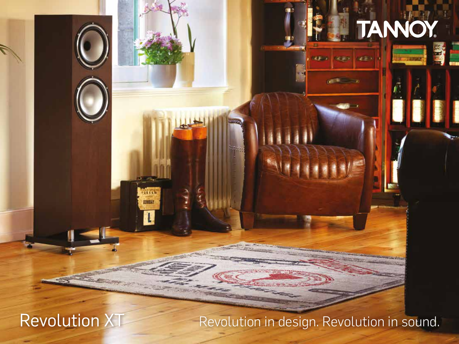**Revolution XT** 

Revolution XT

 $\overline{\mathbf{m}}$ **ROMBAY** 

Revolution in design. Revolution in sound.

TANOY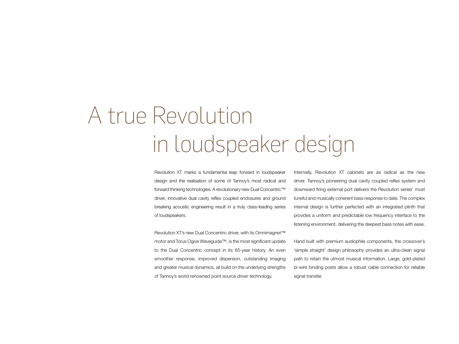# A true Revolution in loudspeaker design

Revolution XT marks a fundamental leap forward in loudspeaker design and the realisation of some of Tannoy's most radical and forward thinking technologies. A revolutionary new Dual Concentric™ driver, innovative dual cavity reflex coupled enclosures and ground breaking acoustic engineering result in a truly class-leading series of loudspeakers.

Revolution XT's new Dual Concentric driver, with its Omnimagnet™ motor and Torus Ogive Waveguide™, is the most significant update to the Dual Concentric concept in its 65-year history. An even smoother response, improved dispersion, outstanding imaging and greater musical dynamics, all build on the underlying strengths of Tannoy's world renowned point source driver technology.

Internally, Revolution XT cabinets are as radical as the new driver. Tannoy's pioneering dual cavity coupled reflex system and downward firing external port delivers the Revolution series' most tuneful and musically coherent bass response to date. The complex internal design is further perfected with an integrated plinth that provides a uniform and predictable low frequency interface to the listening environment, delivering the deepest bass notes with ease.

Hand built with premium audiophile components, the crossover's 'simple straight' design philosophy provides an ultra-clean signal path to retain the utmost musical information. Large, gold-plated bi-wire binding posts allow a robust cable connection for reliable signal transfer.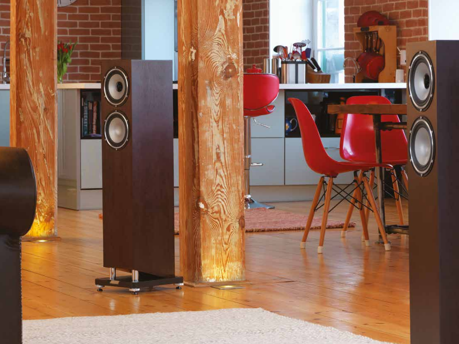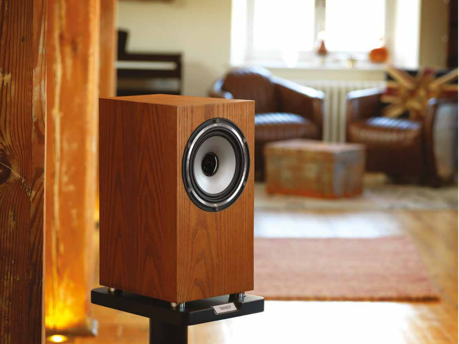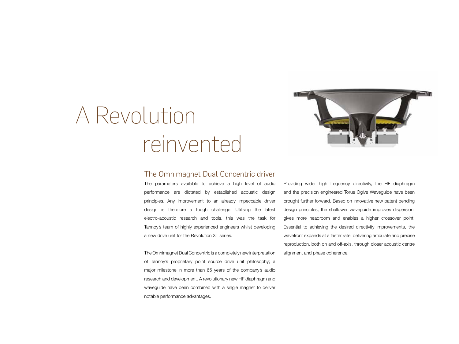

## A Revolution reinvented

#### The Omnimagnet Dual Concentric driver

The parameters available to achieve a high level of audio performance are dictated by established acoustic design principles. Any improvement to an already impeccable driver design is therefore a tough challenge. Utilising the latest electro-acoustic research and tools, this was the task for Tannoy's team of highly experienced engineers whilst developing a new drive unit for the Revolution XT series.

The Omnimagnet Dual Concentric is a completely new interpretation of Tannoy's proprietary point source drive unit philosophy; a major milestone in more than 65 years of the company's audio research and development. A revolutionary new HF diaphragm and waveguide have been combined with a single magnet to deliver notable performance advantages.

Providing wider high frequency directivity, the HF diaphragm and the precision engineered Torus Ogive Waveguide have been brought further forward. Based on innovative new patent pending design principles, the shallower waveguide improves dispersion, gives more headroom and enables a higher crossover point. Essential to achieving the desired directivity improvements, the wavefront expands at a faster rate, delivering articulate and precise reproduction, both on and off-axis, through closer acoustic centre alignment and phase coherence.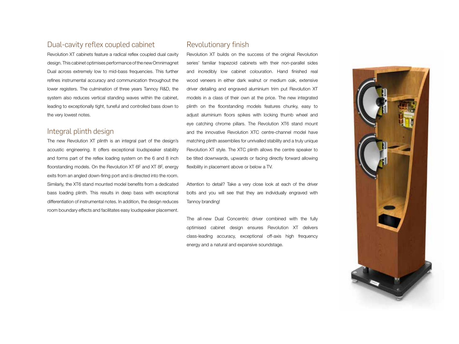## Dual-cavity reflex coupled cabinet

Revolution XT cabinets feature a radical reflex coupled dual cavity design. This cabinet optimises performance of the new Omnimagnet Dual across extremely low to mid-bass frequencies. This further refines instrumental accuracy and communication throughout the lower registers. The culmination of three years Tannoy R&D, the system also reduces vertical standing waves within the cabinet, leading to exceptionally tight, tuneful and controlled bass down to the very lowest notes.

### Integral plinth design

The new Revolution XT plinth is an integral part of the design's acoustic engineering. It offers exceptional loudspeaker stability and forms part of the reflex loading system on the 6 and 8 inch floorstanding models. On the Revolution XT 6F and XT 8F, energy exits from an angled down-firing port and is directed into the room. Similarly, the XT6 stand mounted model benefits from a dedicated bass loading plinth. This results in deep bass with exceptional differentiation of instrumental notes. In addition, the design reduces room boundary effects and facilitates easy loudspeaker placement.

### Revolutionary finish

Revolution XT builds on the success of the original Revolution series' familiar trapezoid cabinets with their non-parallel sides and incredibly low cabinet colouration. Hand finished real wood veneers in either dark walnut or medium oak, extensive driver detailing and engraved aluminium trim put Revolution XT models in a class of their own at the price. The new integrated plinth on the floorstanding models features chunky, easy to adjust aluminium floors spikes with locking thumb wheel and eye catching chrome pillars. The Revolution XT6 stand mount and the innovative Revolution XTC centre-channel model have matching plinth assemblies for unrivalled stability and a truly unique Revolution XT style. The XTC plinth allows the centre speaker to be tilted downwards, upwards or facing directly forward allowing flexibility in placement above or below a TV.

Attention to detail? Take a very close look at each of the driver bolts and you will see that they are individually engraved with Tannoy branding!

The all-new Dual Concentric driver combined with the fully optimised cabinet design ensures Revolution XT delivers class-leading accuracy, exceptional off-axis high frequency energy and a natural and expansive soundstage.

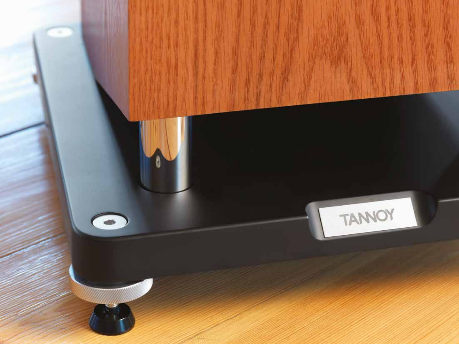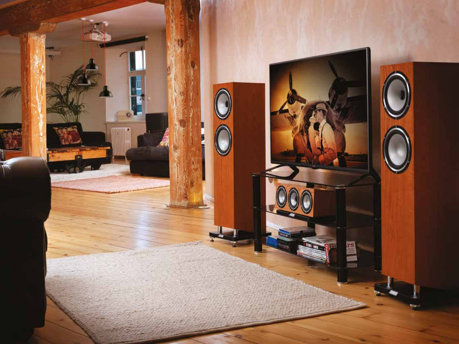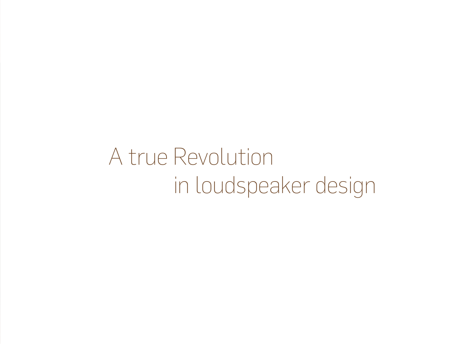# A true Revolution in loudspeaker design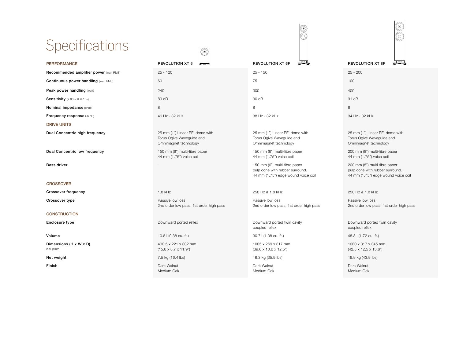## **Specifications**

DRIVE UNITS

**CROSSOVER** 

**CONSTRUCTION** 

incl. plinth

Dimensions (H x W x D)

| <b>VT C</b> |  |
|-------------|--|

PERFORMANCE CONTROLLED THE REVOLUTION XT 6 REVOLUTION XT 6 REVOLUTION XT 8F REVOLUTION XT 8F REVOLUTION XT 8F

| <b>Recommended amplifier power (watt RMS)</b>           | $25 - 120$     | $25 - 150$     | $25 - 200$     |
|---------------------------------------------------------|----------------|----------------|----------------|
| <b>Continuous power handling (watt RMS)</b>             | 60             | 75             | 100            |
| Peak power handling (watt)                              | 240            | 300            | 400            |
| <b>Sensitivity</b> $(2.83 \text{ volt } @ 1 \text{ m})$ | 89 dB          | 90 dB          | 91 dB          |
| Nominal impedance (ohm)                                 | 8              | 8              | 8              |
| Frequency response (-6 dB)                              | 46 Hz - 32 kHz | 38 Hz - 32 kHz | 34 Hz - 32 kHz |

O<br>O

25 mm (1") Linear PEI dome with Torus Ogive Waveguide and Omnimagnet technology

150 mm (6") multi-fibre paper 44 mm (1.75") voice coil

Bass driver  $\blacksquare$  150 mm (6") multi-fibre paper pulp cone with rubber surround. 44 mm (1.75") edge wound voice coil

Passive low loss 2nd order low pass, 1st order high pass

**Enclosure type Enclosure type Downward ported reflex** Downward ported reflex **Downward ported twin cavity Downward ported twin cavity** coupled reflex

**Volume** 10.8 l (0.38 cu. ft.) 30.7 l (1.08 cu. ft.) 30.7 l (1.08 cu. ft.) 48.8 l (1.72 cu. ft.)

1005 x 269 x 317 mm (39.6 x 10.6 x 12.5")

Dark Walnut Medium Oak

| $\sim$ |  |  |
|--------|--|--|
| 400    |  |  |
| 91 dB  |  |  |
| 8      |  |  |

25 mm (1") Linear PEI dome with Torus Ogive Waveguide and Omnimagnet technology

200 mm (8") multi-fibre paper 44 mm (1.75") voice coil

200 mm (8") multi-fibre paper pulp cone with rubber surround. 44 mm (1.75") edge wound voice coil

Crossover frequency 250 Hz & 1.8 kHz 250 Hz & 1.8 kHz 250 Hz & 1.8 kHz 250 Hz & 1.8 kHz 250 Hz & 1.8 kHz

Passive low loss 2nd order low pass, 1st order high pass

Downward ported twin cavity coupled reflex

1080 x 317 x 345 mm (42.5 x 12.5 x 13.6")

Net weight 19.9 kg (43.9 lbs) 7.5 kg (16.4 lbs) 16.3 kg (35.9 lbs) 16.3 kg (35.9 lbs) 19.9 kg (43.9 lbs)

Dark Walnut Medium Oak



Torus Ogive Waveguide and Omnimagnet technology

44 mm (1.75") voice coil

400.5 x 221 x 302 mm (15.8 x 8.7 x 11.9")

Medium Oak

2nd order low pass, 1st order high pass

**Dual Concentric high frequency** 25 mm (1") Linear PEI dome with

**Dual Concentric low frequency** 150 mm (6") multi-fibre paper

**Crossover type Constant Crossover type Accord Crossover type Accord Passive low loss** 

Finish Dark Walnut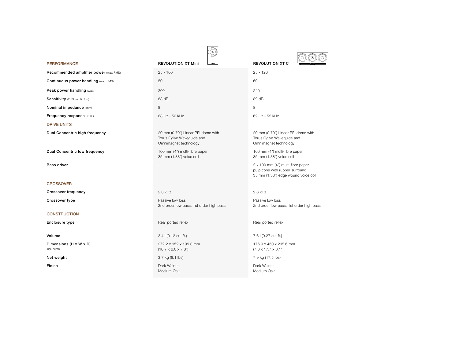## $\circledcirc$



| <b>PERFORMANCE</b>                     | <b>REVOLUTION XT Mini</b><br>$\sim$                                                      | <b>REVOLUTION XT C</b>                                                                                      |
|----------------------------------------|------------------------------------------------------------------------------------------|-------------------------------------------------------------------------------------------------------------|
| Recommended amplifier power (watt RMS) | $25 - 100$                                                                               | $25 - 120$                                                                                                  |
| Continuous power handling (watt RMS)   | 50                                                                                       | 60                                                                                                          |
| Peak power handling (watt)             | 200                                                                                      | 240                                                                                                         |
| Sensitivity (2.83 volt @ 1 m)          | 88 dB                                                                                    | 89 dB                                                                                                       |
| Nominal impedance (ohm)                | 8                                                                                        | 8                                                                                                           |
| Frequency response (-6 dB)             | 68 Hz - 52 kHz                                                                           | 62 Hz - 52 kHz                                                                                              |
| <b>DRIVE UNITS</b>                     |                                                                                          |                                                                                                             |
| Dual Concentric high frequency         | 20 mm (0.79") Linear PEI dome with<br>Torus Ogive Waveguide and<br>Omnimagnet technology | 20 mm (0.79") Linear PEI dome with<br>Torus Ogive Waveguide and<br>Omnimagnet technology                    |
| Dual Concentric low frequency          | 100 mm (4") multi-fibre paper<br>35 mm (1.38") voice coil                                | 100 mm (4") multi-fibre paper<br>35 mm (1.38") voice coil                                                   |
| <b>Bass driver</b>                     | $\overline{a}$                                                                           | 2 x 100 mm (4") multi-fibre paper<br>pulp cone with rubber surround.<br>35 mm (1.38") edge wound voice coil |
| <b>CROSSOVER</b>                       |                                                                                          |                                                                                                             |
| <b>Crossover frequency</b>             | 2.8 kHz                                                                                  | 2.8 kHz                                                                                                     |
| Crossover type                         | Passive low loss<br>2nd order low pass, 1st order high pass                              | Passive low loss<br>2nd order low pass, 1st order high pass                                                 |
| <b>CONSTRUCTION</b>                    |                                                                                          |                                                                                                             |
| <b>Enclosure type</b>                  | Rear ported reflex                                                                       | Rear ported reflex                                                                                          |
| Volume                                 | $3.4$ I (0.12 cu. ft.)                                                                   | 7.6   (0.27 cu. ft.)                                                                                        |
| Dimensions (H x W x D)<br>incl. plinth | 272.2 x 152 x 199.3 mm<br>$(10.7 \times 6.0 \times 7.8")$                                | 176.9 x 450 x 205.6 mm<br>$(7.0 \times 17.7 \times 8.1)$                                                    |
| Net weight                             | 3.7 kg (8.1 lbs)                                                                         | 7.9 kg (17.5 lbs)                                                                                           |
| Finish                                 | Dark Walnut<br>Medium Oak                                                                | Dark Walnut<br>Medium Oak                                                                                   |